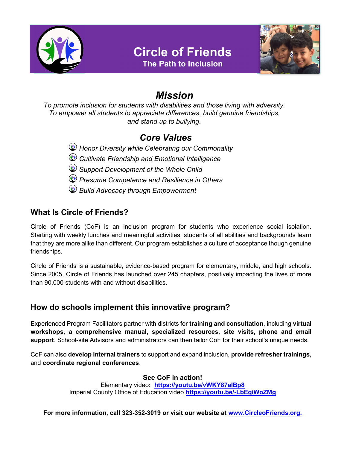

# Circle of Friends





# Mission

To promote inclusion for students with disabilities and those living with adversity. To empower all students to appreciate differences, build genuine friendships, and stand up to bullying.

## Core Values

Honor Diversity while Celebrating our Commonality

- **Cultivate Friendship and Emotional Intelligence**
- Support Development of the Whole Child
- **Presume Competence and Resilience in Others**
- **Build Advocacy through Empowerment**

## What Is Circle of Friends?

Circle of Friends (CoF) is an inclusion program for students who experience social isolation. Starting with weekly lunches and meaningful activities, students of all abilities and backgrounds learn that they are more alike than different. Our program establishes a culture of acceptance though genuine friendships.

Circle of Friends is a sustainable, evidence-based program for elementary, middle, and high schools. Since 2005, Circle of Friends has launched over 245 chapters, positively impacting the lives of more than 90,000 students with and without disabilities.

### How do schools implement this innovative program?

Experienced Program Facilitators partner with districts for training and consultation, including virtual workshops, a comprehensive manual, specialized resources, site visits, phone and email support. School-site Advisors and administrators can then tailor CoF for their school's unique needs.

CoF can also develop internal trainers to support and expand inclusion, provide refresher trainings, and coordinate regional conferences.

### See CoF in action!

Elementary video: https://youtu.be/vWKY87aIBp8 Imperial County Office of Education video https://youtu.be/-LbEqiWoZMg

For more information, call 323-352-3019 or visit our website at www.CircleoFriends.org.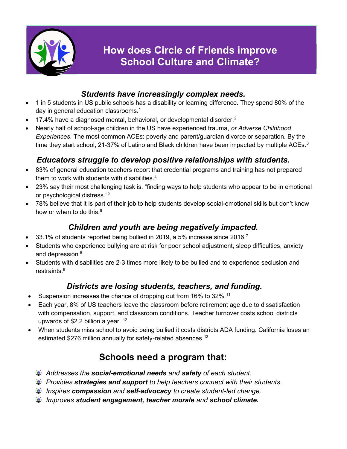

### Students have increasingly complex needs.

- 1 in 5 students in US public schools has a disability or learning difference. They spend 80% of the day in general education classrooms.<sup>1</sup>
- $\bullet$  17.4% have a diagnosed mental, behavioral, or developmental disorder.<sup>2</sup>
- Nearly half of school-age children in the US have experienced trauma, or Adverse Childhood Experiences. The most common ACEs: poverty and parent/guardian divorce or separation. By the time they start school, 21-37% of Latino and Black children have been impacted by multiple ACEs. $3$

## Educators struggle to develop positive relationships with students.

- 83% of general education teachers report that credential programs and training has not prepared them to work with students with disabilities. $4$
- 23% say their most challenging task is, "finding ways to help students who appear to be in emotional or psychological distress."<sup>5</sup>
- 78% believe that it is part of their job to help students develop social-emotional skills but don't know how or when to do this. $6$

## Children and youth are being negatively impacted.

- $\bullet$  33.1% of students reported being bullied in 2019, a 5% increase since 2016.<sup>7</sup>
- Students who experience bullying are at risk for poor school adjustment, sleep difficulties, anxiety and depression. 8
- Students with disabilities are 2-3 times more likely to be bullied and to experience seclusion and restraints.<sup>9</sup>

## Districts are losing students, teachers, and funding.

- Suspension increases the chance of dropping out from 16% to 32%.<sup>11</sup>
- Each year, 8% of US teachers leave the classroom before retirement age due to dissatisfaction with compensation, support, and classroom conditions. Teacher turnover costs school districts upwards of \$2.2 billion a year.  $12$
- When students miss school to avoid being bullied it costs districts ADA funding. California loses an estimated \$276 million annually for safety-related absences.<sup>13</sup>

## Schools need a program that:

- **Addresses the social-emotional needs and safety of each student.**
- *C* Provides strategies and support to help teachers connect with their students.
- *C* Inspires compassion and self-advocacy to create student-led change.
- **Improves student engagement, teacher morale and school climate.**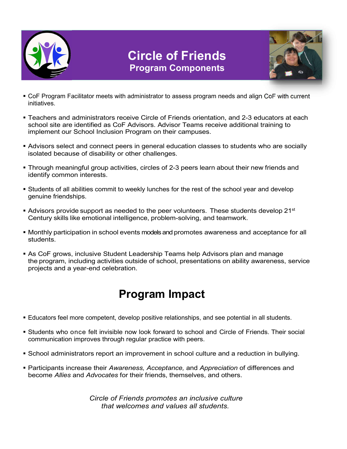

# Circle of Friends Program Components



- CoF Program Facilitator meets with administrator to assess program needs and align CoF with current initiatives.
- Teachers and administrators receive Circle of Friends orientation, and 2-3 educators at each school site are identified as CoF Advisors. Advisor Teams receive additional training to implement our School Inclusion Program on their campuses.
- Advisors select and connect peers in general education classes to students who are socially isolated because of disability or other challenges.
- Through meaningful group activities, circles of 2-3 peers learn about their new friends and identify common interests.
- Students of all abilities commit to weekly lunches for the rest of the school year and develop genuine friendships.
- **Advisors provide support as needed to the peer volunteers. These students develop 21st** Century skills like emotional intelligence, problem-solving, and teamwork.
- Monthly participation in school events models and promotes awareness and acceptance for all students.
- As CoF grows, inclusive Student Leadership Teams help Advisors plan and manage the program, including activities outside of school, presentations on ability awareness, service projects and a year-end celebration.

# Program Impact

- Educators feel more competent, develop positive relationships, and see potential in all students.
- Students who once felt invisible now look forward to school and Circle of Friends. Their social communication improves through regular practice with peers.
- **School administrators report an improvement in school culture and a reduction in bullying.**
- **Participants increase their Awareness, Acceptance, and Appreciation of differences and** become Allies and Advocates for their friends, themselves, and others.

Circle of Friends promotes an inclusive culture that welcomes and values all students.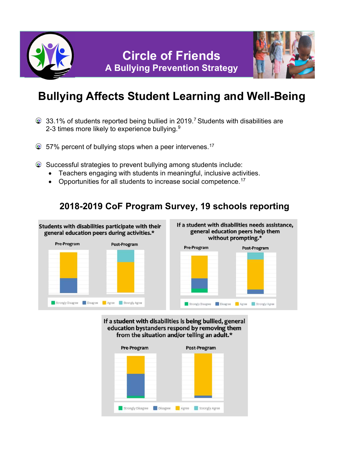



# Bullying Affects Student Learning and Well-Being

- $\circledast$  33.1% of students reported being bullied in 2019.<sup>7</sup> Students with disabilities are 2-3 times more likely to experience bullying.<sup>9</sup>
- $$57\%$  percent of bullying stops when a peer intervenes.<sup>17</sup>
- Successful strategies to prevent bullying among students include:
	- Teachers engaging with students in meaningful, inclusive activities.
	- Opportunities for all students to increase social competence.<sup>17</sup>

## 2018-2019 CoF Program Survey, 19 schools reporting



#### If a student with disabilities is being bullied, general education bystanders respond by removing them from the situation and/or telling an adult.\*

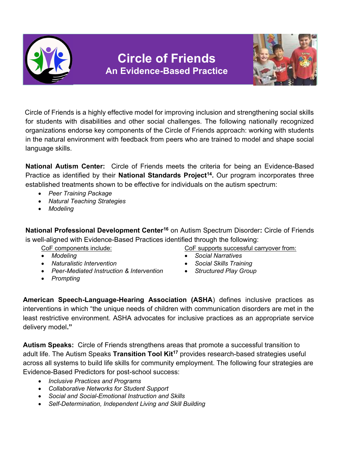



 Circle of Friends is a highly effective model for improving inclusion and strengthening social skills for students with disabilities and other social challenges. The following nationally recognized organizations endorse key components of the Circle of Friends approach: working with students in the natural environment with feedback from peers who are trained to model and shape social language skills.

National Autism Center: Circle of Friends meets the criteria for being an Evidence-Based Practice as identified by their National Standards Project<sup>14</sup>. Our program incorporates three established treatments shown to be effective for individuals on the autism spectrum:

- Peer Training Package
- Natural Teaching Strategies
- Modeling

National Professional Development Center<sup>16</sup> on Autism Spectrum Disorder: Circle of Friends is well-aligned with Evidence-Based Practices identified through the following:

- 
- Naturalistic Intervention **Social Skills Training Social Skills Training**
- Peer-Mediated Instruction & Intervention Structured Play Group
- 
- CoF components include: CoF supports successful carryover from:
- Modeling **Social Narratives Social Narratives** 
	-
	-

• Prompting

American Speech-Language-Hearing Association (ASHA) defines inclusive practices as interventions in which "the unique needs of children with communication disorders are met in the least restrictive environment. ASHA advocates for inclusive practices as an appropriate service delivery model."

Autism Speaks: Circle of Friends strengthens areas that promote a successful transition to adult life. The Autism Speaks Transition Tool Kit<sup>17</sup> provides research-based strategies useful across all systems to build life skills for community employment. The following four strategies are Evidence-Based Predictors for post-school success:

- Inclusive Practices and Programs
- Collaborative Networks for Student Support
- Social and Social-Emotional Instruction and Skills
- Self-Determination, Independent Living and Skill Building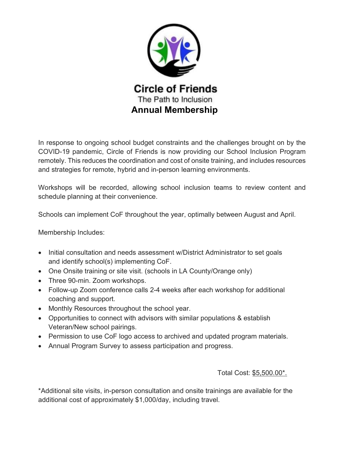

In response to ongoing school budget constraints and the challenges brought on by the COVID-19 pandemic, Circle of Friends is now providing our School Inclusion Program remotely. This reduces the coordination and cost of onsite training, and includes resources and strategies for remote, hybrid and in-person learning environments.

Workshops will be recorded, allowing school inclusion teams to review content and schedule planning at their convenience.

Schools can implement CoF throughout the year, optimally between August and April.

Membership Includes:

- Initial consultation and needs assessment w/District Administrator to set goals and identify school(s) implementing CoF.
- One Onsite training or site visit. (schools in LA County/Orange only)
- Three 90-min. Zoom workshops.
- Follow-up Zoom conference calls 2-4 weeks after each workshop for additional coaching and support.
- Monthly Resources throughout the school year.
- Opportunities to connect with advisors with similar populations & establish Veteran/New school pairings.
- Permission to use CoF logo access to archived and updated program materials.
- Annual Program Survey to assess participation and progress.

#### Total Cost: \$5,500.00\*.

\*Additional site visits, in-person consultation and onsite trainings are available for the additional cost of approximately \$1,000/day, including travel.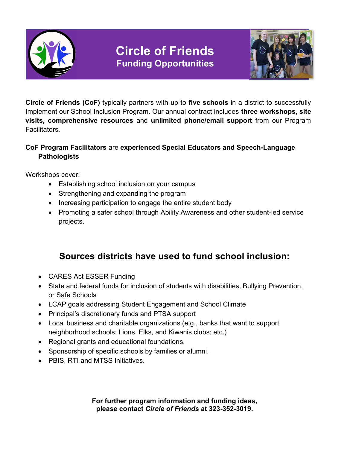

# Circle of Friends Funding Opportunities



Circle of Friends (CoF) typically partners with up to five schools in a district to successfully Implement our School Inclusion Program. Our annual contract includes **three workshops, site** visits, comprehensive resources and unlimited phone/email support from our Program Facilitators.

### CoF Program Facilitators are experienced Special Educators and Speech-Language **Pathologists**

Workshops cover:

- **Establishing school inclusion on your campus**
- Strengthening and expanding the program
- Increasing participation to engage the entire student body
- Promoting a safer school through Ability Awareness and other student-led service projects.

## Sources districts have used to fund school inclusion:

- CARES Act ESSER Funding
- State and federal funds for inclusion of students with disabilities, Bullying Prevention, or Safe Schools
- LCAP goals addressing Student Engagement and School Climate
- Principal's discretionary funds and PTSA support
- Local business and charitable organizations (e.g., banks that want to support neighborhood schools; Lions, Elks, and Kiwanis clubs; etc.)
- Regional grants and educational foundations.
- Sponsorship of specific schools by families or alumni.
- PBIS, RTI and MTSS Initiatives.

For further program information and funding ideas, please contact Circle of Friends at 323-352-3019.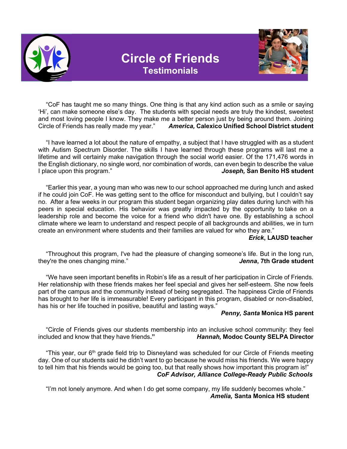

# Circle of Friends **Testimonials**



"CoF has taught me so many things. One thing is that any kind action such as a smile or saying 'Hi', can make someone else's day. The students with special needs are truly the kindest, sweetest and most loving people I know. They make me a better person just by being around them. Joining Circle of Friends has really made my year." America, Calexico Unified School District student

"I have learned a lot about the nature of empathy, a subject that I have struggled with as a student with Autism Spectrum Disorder. The skills I have learned through these programs will last me a lifetime and will certainly make navigation through the social world easier. Of the 171,476 words in the English dictionary, no single word, nor combination of words, can even begin to describe the value I place upon this program." The same state of the state of the state of the state of the state of the state of the state of the state of the state of the state of the state of the state of the state of the state of the sta

"Earlier this year, a young man who was new to our school approached me during lunch and asked if he could join CoF. He was getting sent to the office for misconduct and bullying, but I couldn't say no. After a few weeks in our program this student began organizing play dates during lunch with his peers in special education. His behavior was greatly impacted by the opportunity to take on a leadership role and become the voice for a friend who didn't have one. By establishing a school climate where we learn to understand and respect people of all backgrounds and abilities, we in turn create an environment where students and their families are valued for who they are."

#### Erick, LAUSD teacher

"Throughout this program, I've had the pleasure of changing someone's life. But in the long run, they're the ones changing mine." The same student of the student of the student of the student of the student

"We have seen important benefits in Robin's life as a result of her participation in Circle of Friends. Her relationship with these friends makes her feel special and gives her self-esteem. She now feels part of the campus and the community instead of being segregated. The happiness Circle of Friends has brought to her life is immeasurable! Every participant in this program, disabled or non-disabled, has his or her life touched in positive, beautiful and lasting ways."

#### Penny, Santa Monica HS parent

"Circle of Friends gives our students membership into an inclusive school community: they feel included and know that they have friends." Hannah, Modoc County SELPA Director

"This vear, our 6<sup>th</sup> grade field trip to Disneyland was scheduled for our Circle of Friends meeting day. One of our students said he didn't want to go because he would miss his friends. We were happy to tell him that his friends would be going too, but that really shows how important this program is!" CoF Advisor, Alliance College-Ready Public Schools

"I'm not lonely anymore. And when I do get some company, my life suddenly becomes whole." Amelia, Santa Monica HS student